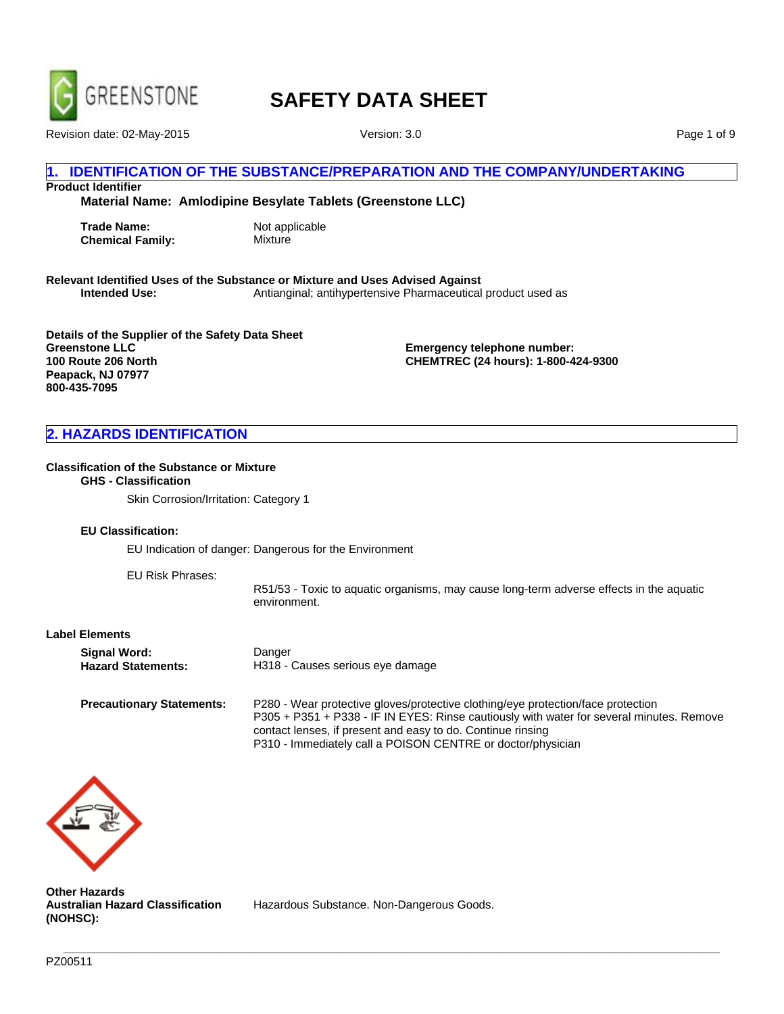

Revision date: 02-May-2015 Version: 3.0

Page 1 of 9

## **IDENTIFICATION OF THE SUBSTANCE/PREPARATION AND THE COMPANY/UNDERTAKING**

**Product Identifier**

**Material Name: Amlodipine Besylate Tablets (Greenstone LLC)**

**Trade Name:** Not applicable **Chemical Family:** Mixture

**Relevant Identified Uses of the Substance or Mixture and Uses Advised Against Intended Use:** Antianginal; antihypertensive Pharmaceutical product used as

**Details of the Supplier of the Safety Data Sheet Greenstone LLC 100 Route 206 North Peapack, NJ 07977 800-435-7095**

**Emergency telephone number: CHEMTREC (24 hours): 1-800-424-9300**

## **2. HAZARDS IDENTIFICATION**

#### **Classification of the Substance or Mixture**

## **GHS - Classification**

Skin Corrosion/Irritation: Category 1

#### **EU Classification:**

EU Indication of danger: Dangerous for the Environment

EU Risk Phrases:

R51/53 - Toxic to aquatic organisms, may cause long-term adverse effects in the aquatic environment.

#### **Label Elements**

**Precautionary Statements:** P280 - Wear protective gloves/protective clothing/eye protection/face protection P305 + P351 + P338 - IF IN EYES: Rinse cautiously with water for several minutes. Remove contact lenses, if present and easy to do. Continue rinsing P310 - Immediately call a POISON CENTRE or doctor/physician



**Other Hazards Australian Hazard Classification (NOHSC):**

Hazardous Substance. Non-Dangerous Goods.

**\_\_\_\_\_\_\_\_\_\_\_\_\_\_\_\_\_\_\_\_\_\_\_\_\_\_\_\_\_\_\_\_\_\_\_\_\_\_\_\_\_\_\_\_\_\_\_\_\_\_\_\_\_\_\_\_\_\_\_\_\_\_\_\_\_\_\_\_\_\_\_\_\_\_\_\_\_\_\_\_\_\_\_\_\_\_\_\_\_\_\_\_\_\_\_\_\_\_\_\_\_\_\_**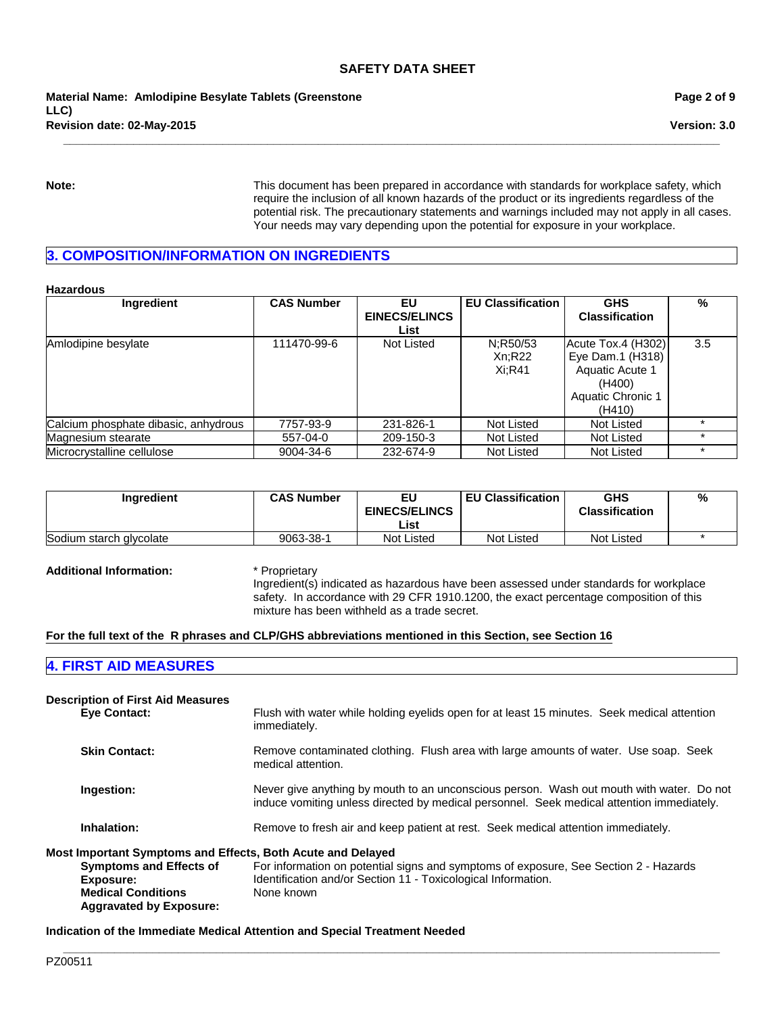**\_\_\_\_\_\_\_\_\_\_\_\_\_\_\_\_\_\_\_\_\_\_\_\_\_\_\_\_\_\_\_\_\_\_\_\_\_\_\_\_\_\_\_\_\_\_\_\_\_\_\_\_\_\_\_\_\_\_\_\_\_\_\_\_\_\_\_\_\_\_\_\_\_\_\_\_\_\_\_\_\_\_\_\_\_\_\_\_\_\_\_\_\_\_\_\_\_\_\_\_\_\_\_**

**Revision date: 02-May-2015 Material Name: Amlodipine Besylate Tablets (Greenstone LLC)**

**Page 2 of 9**

**Version: 3.0**

**Note:** This document has been prepared in accordance with standards for workplace safety, which require the inclusion of all known hazards of the product or its ingredients regardless of the potential risk. The precautionary statements and warnings included may not apply in all cases. Your needs may vary depending upon the potential for exposure in your workplace.

## **3. COMPOSITION/INFORMATION ON INGREDIENTS**

**Hazardous**

| Ingredient                           | <b>CAS Number</b> | EU                   | <b>EU Classification</b> | <b>GHS</b>            | %   |
|--------------------------------------|-------------------|----------------------|--------------------------|-----------------------|-----|
|                                      |                   | <b>EINECS/ELINCS</b> |                          | <b>Classification</b> |     |
|                                      |                   | List                 |                          |                       |     |
| Amlodipine besylate                  | 111470-99-6       | Not Listed           | N:R50/53                 | Acute Tox.4 (H302)    | 3.5 |
|                                      |                   |                      | Xn:R22                   | Eye Dam.1 (H318)      |     |
|                                      |                   |                      | $Xi:$ R41                | Aquatic Acute 1       |     |
|                                      |                   |                      |                          | (H400)                |     |
|                                      |                   |                      |                          | Aquatic Chronic 1     |     |
|                                      |                   |                      |                          | (H410)                |     |
| Calcium phosphate dibasic, anhydrous | 7757-93-9         | 231-826-1            | Not Listed               | Not Listed            |     |
| Magnesium stearate                   | 557-04-0          | 209-150-3            | Not Listed               | Not Listed            |     |
| Microcrystalline cellulose           | 9004-34-6         | 232-674-9            | Not Listed               | Not Listed            |     |

| <b>Ingredient</b>       | <b>CAS Number</b> | EU<br><b>EINECS/ELINCS</b><br>List | <b>EU Classification</b> | GHS<br><b>Classification</b> | % |
|-------------------------|-------------------|------------------------------------|--------------------------|------------------------------|---|
| Sodium starch glycolate | 9063-38-1         | Not Listed                         | <b>Not Listed</b>        | <b>Not Listed</b>            |   |

**Additional Information:** \* Proprietary

Ingredient(s) indicated as hazardous have been assessed under standards for workplace safety. In accordance with 29 CFR 1910.1200, the exact percentage composition of this mixture has been withheld as a trade secret.

#### **For the full text of the R phrases and CLP/GHS abbreviations mentioned in this Section, see Section 16**

### **4. FIRST AID MEASURES**

| <b>Description of First Aid Measures</b>                                                                                                                                  |                                                                                                                                                                                       |
|---------------------------------------------------------------------------------------------------------------------------------------------------------------------------|---------------------------------------------------------------------------------------------------------------------------------------------------------------------------------------|
| <b>Eve Contact:</b>                                                                                                                                                       | Flush with water while holding eyelids open for at least 15 minutes. Seek medical attention<br>immediately.                                                                           |
| <b>Skin Contact:</b>                                                                                                                                                      | Remove contaminated clothing. Flush area with large amounts of water. Use soap. Seek<br>medical attention.                                                                            |
| Ingestion:                                                                                                                                                                | Never give anything by mouth to an unconscious person. Wash out mouth with water. Do not<br>induce vomiting unless directed by medical personnel. Seek medical attention immediately. |
| Inhalation:                                                                                                                                                               | Remove to fresh air and keep patient at rest. Seek medical attention immediately.                                                                                                     |
| Most Important Symptoms and Effects, Both Acute and Delayed<br><b>Symptoms and Effects of</b><br>Exposure:<br><b>Medical Conditions</b><br><b>Aggravated by Exposure:</b> | For information on potential signs and symptoms of exposure, See Section 2 - Hazards<br>Identification and/or Section 11 - Toxicological Information.<br>None known                   |

**\_\_\_\_\_\_\_\_\_\_\_\_\_\_\_\_\_\_\_\_\_\_\_\_\_\_\_\_\_\_\_\_\_\_\_\_\_\_\_\_\_\_\_\_\_\_\_\_\_\_\_\_\_\_\_\_\_\_\_\_\_\_\_\_\_\_\_\_\_\_\_\_\_\_\_\_\_\_\_\_\_\_\_\_\_\_\_\_\_\_\_\_\_\_\_\_\_\_\_\_\_\_\_**

**Indication of the Immediate Medical Attention and Special Treatment Needed**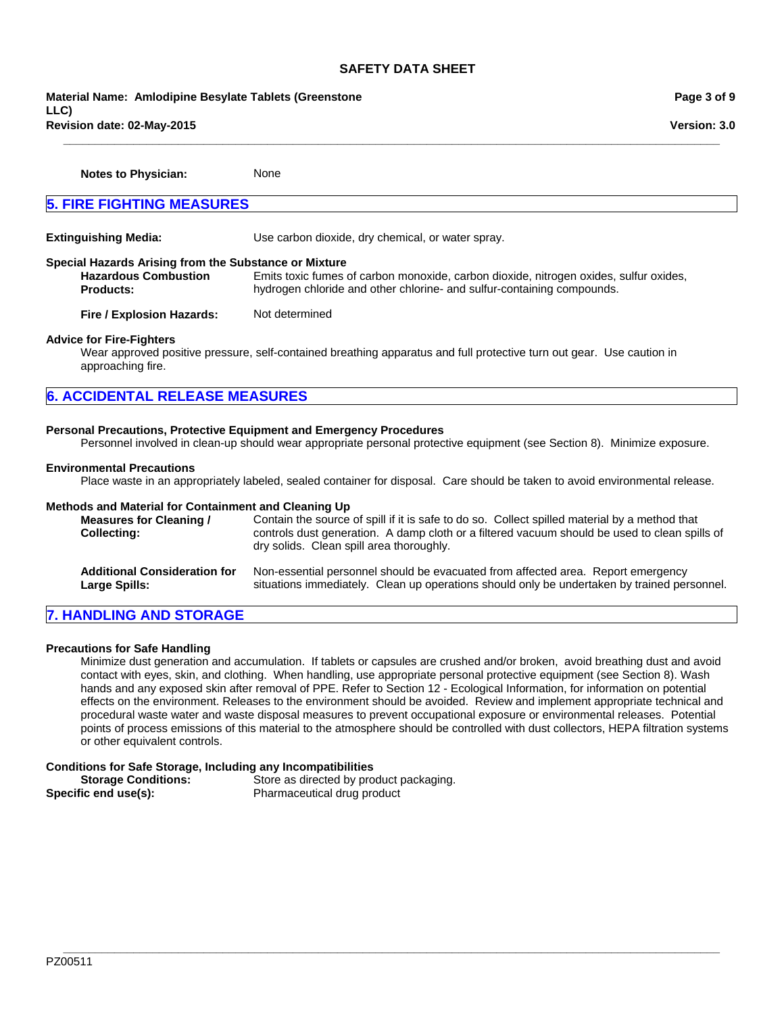**\_\_\_\_\_\_\_\_\_\_\_\_\_\_\_\_\_\_\_\_\_\_\_\_\_\_\_\_\_\_\_\_\_\_\_\_\_\_\_\_\_\_\_\_\_\_\_\_\_\_\_\_\_\_\_\_\_\_\_\_\_\_\_\_\_\_\_\_\_\_\_\_\_\_\_\_\_\_\_\_\_\_\_\_\_\_\_\_\_\_\_\_\_\_\_\_\_\_\_\_\_\_\_**

**Revision date: 02-May-2015 Material Name: Amlodipine Besylate Tablets (Greenstone LLC)**

**Notes to Physician:** None

**5. FIRE FIGHTING MEASURES**

**Extinguishing Media:** Use carbon dioxide, dry chemical, or water spray. **Special Hazards Arising from the Substance or Mixture Hazardous Combustion Products:** Emits toxic fumes of carbon monoxide, carbon dioxide, nitrogen oxides, sulfur oxides, hydrogen chloride and other chlorine- and sulfur-containing compounds. **Fire / Explosion Hazards:** Not determined **Advice for Fire-Fighters** Wear approved positive pressure, self-contained breathing apparatus and full protective turn out gear. Use caution in approaching fire. **6. ACCIDENTAL RELEASE MEASURES**

## **Personal Precautions, Protective Equipment and Emergency Procedures**

Personnel involved in clean-up should wear appropriate personal protective equipment (see Section 8). Minimize exposure.

#### **Environmental Precautions**

Place waste in an appropriately labeled, sealed container for disposal. Care should be taken to avoid environmental release.

#### **Methods and Material for Containment and Cleaning Up**

| <b>Measures for Cleaning /</b><br><b>Collecting:</b> | Contain the source of spill if it is safe to do so. Collect spilled material by a method that<br>controls dust generation. A damp cloth or a filtered vacuum should be used to clean spills of<br>dry solids. Clean spill area thoroughly. |
|------------------------------------------------------|--------------------------------------------------------------------------------------------------------------------------------------------------------------------------------------------------------------------------------------------|
| <b>Additional Consideration for</b>                  | Non-essential personnel should be evacuated from affected area. Report emergency                                                                                                                                                           |
| Large Spills:                                        | situations immediately. Clean up operations should only be undertaken by trained personnel.                                                                                                                                                |

## **7. HANDLING AND STORAGE**

#### **Precautions for Safe Handling**

Minimize dust generation and accumulation. If tablets or capsules are crushed and/or broken, avoid breathing dust and avoid contact with eyes, skin, and clothing. When handling, use appropriate personal protective equipment (see Section 8). Wash hands and any exposed skin after removal of PPE. Refer to Section 12 - Ecological Information, for information on potential effects on the environment. Releases to the environment should be avoided. Review and implement appropriate technical and procedural waste water and waste disposal measures to prevent occupational exposure or environmental releases. Potential points of process emissions of this material to the atmosphere should be controlled with dust collectors, HEPA filtration systems or other equivalent controls.

**\_\_\_\_\_\_\_\_\_\_\_\_\_\_\_\_\_\_\_\_\_\_\_\_\_\_\_\_\_\_\_\_\_\_\_\_\_\_\_\_\_\_\_\_\_\_\_\_\_\_\_\_\_\_\_\_\_\_\_\_\_\_\_\_\_\_\_\_\_\_\_\_\_\_\_\_\_\_\_\_\_\_\_\_\_\_\_\_\_\_\_\_\_\_\_\_\_\_\_\_\_\_\_**

#### **Conditions for Safe Storage, Including any Incompatibilities**

| <b>Storage Conditions:</b> | Store as directed by product packaging. |
|----------------------------|-----------------------------------------|
| Specific end use(s):       | Pharmaceutical drug product             |

**Page 3 of 9**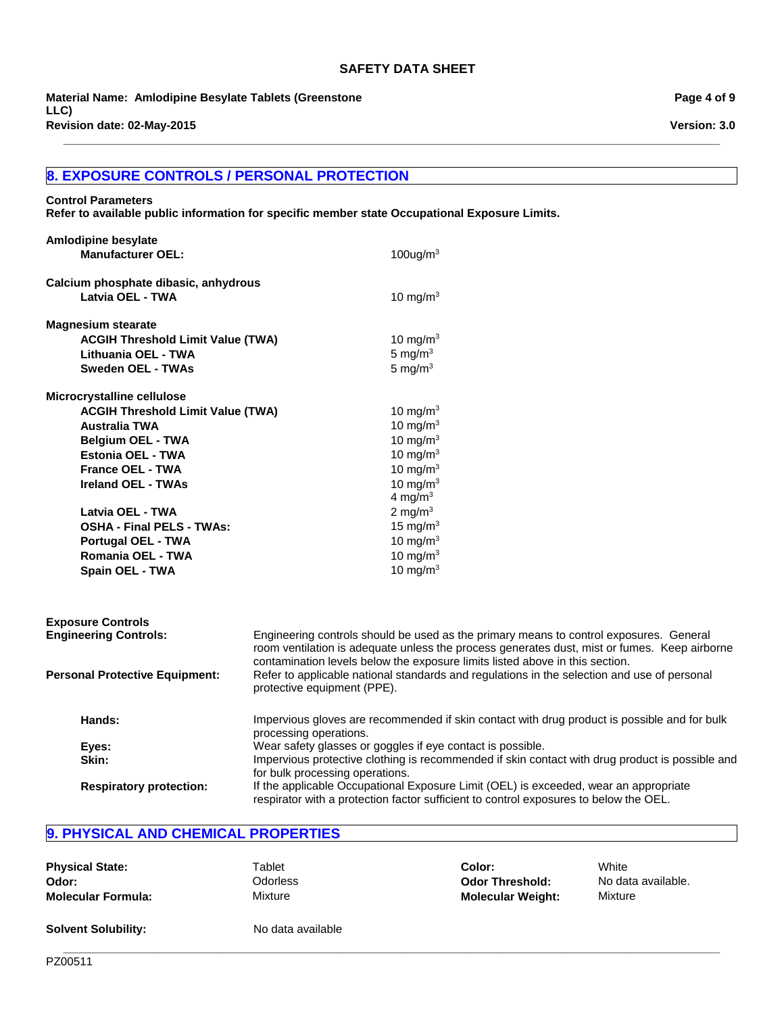**\_\_\_\_\_\_\_\_\_\_\_\_\_\_\_\_\_\_\_\_\_\_\_\_\_\_\_\_\_\_\_\_\_\_\_\_\_\_\_\_\_\_\_\_\_\_\_\_\_\_\_\_\_\_\_\_\_\_\_\_\_\_\_\_\_\_\_\_\_\_\_\_\_\_\_\_\_\_\_\_\_\_\_\_\_\_\_\_\_\_\_\_\_\_\_\_\_\_\_\_\_\_\_**

**Revision date: 02-May-2015 Material Name: Amlodipine Besylate Tablets (Greenstone LLC)**

## **8. EXPOSURE CONTROLS / PERSONAL PROTECTION**

## **Control Parameters**

**Refer to available public information for specific member state Occupational Exposure Limits.**

| Amlodipine besylate                      |                                                                                                                            |
|------------------------------------------|----------------------------------------------------------------------------------------------------------------------------|
| <b>Manufacturer OEL:</b>                 | $100$ ug/m <sup>3</sup>                                                                                                    |
| Calcium phosphate dibasic, anhydrous     |                                                                                                                            |
| Latvia OEL - TWA                         | 10 mg/m $3$                                                                                                                |
| <b>Magnesium stearate</b>                |                                                                                                                            |
| <b>ACGIH Threshold Limit Value (TWA)</b> | 10 mg/m $3$                                                                                                                |
| Lithuania OEL - TWA                      | 5 mg/ $m3$                                                                                                                 |
| <b>Sweden OEL - TWAs</b>                 | 5 mg/ $m3$                                                                                                                 |
| Microcrystalline cellulose               |                                                                                                                            |
| <b>ACGIH Threshold Limit Value (TWA)</b> | 10 mg/m $3$                                                                                                                |
| <b>Australia TWA</b>                     | 10 mg/m $3$                                                                                                                |
| <b>Belgium OEL - TWA</b>                 | 10 mg/m $3$                                                                                                                |
| <b>Estonia OEL - TWA</b>                 | 10 mg/m $3$                                                                                                                |
| <b>France OEL - TWA</b>                  | 10 mg/m $3$                                                                                                                |
| <b>Ireland OEL - TWAs</b>                | 10 mg/m $3$                                                                                                                |
|                                          | 4 mg/m $3$                                                                                                                 |
| Latvia OEL - TWA                         | 2 mg/m $3$                                                                                                                 |
| <b>OSHA - Final PELS - TWAs:</b>         | 15 mg/m $3$                                                                                                                |
| <b>Portugal OEL - TWA</b>                | 10 mg/m $3$                                                                                                                |
| Romania OEL - TWA                        | 10 mg/m $3$                                                                                                                |
| Spain OEL - TWA                          | 10 mg/m $3$                                                                                                                |
|                                          |                                                                                                                            |
| <b>Exposure Controls</b>                 |                                                                                                                            |
| <b>Engineering Controls:</b>             | Engineering controls should be used as the primary means to control exposures. General                                     |
|                                          | room ventilation is adequate unless the process generates dust, mist or fumes. Keep airborne                               |
|                                          | contamination levels below the exposure limits listed above in this section.                                               |
| <b>Personal Protective Equipment:</b>    | Refer to applicable national standards and regulations in the selection and use of personal<br>protective equipment (PPE). |
| Hands:                                   | Impervious gloves are recommended if skin contact with drug product is possible and for bulk                               |
|                                          | processing operations.                                                                                                     |
| Eyes:                                    | Wear safety glasses or goggles if eye contact is possible.                                                                 |
| Skin:                                    | Impervious protective clothing is recommended if skin contact with drug product is possible and                            |
|                                          | for bulk processing operations.                                                                                            |

## **9. PHYSICAL AND CHEMICAL PROPERTIES**

| <b>Physical State:</b>     | Tablet            | Color:                   | White              |
|----------------------------|-------------------|--------------------------|--------------------|
| Odor:                      | Odorless          | <b>Odor Threshold:</b>   | No data available. |
| <b>Molecular Formula:</b>  | Mixture           | <b>Molecular Weight:</b> | Mixture            |
| <b>Solvent Solubility:</b> | No data available |                          |                    |

**\_\_\_\_\_\_\_\_\_\_\_\_\_\_\_\_\_\_\_\_\_\_\_\_\_\_\_\_\_\_\_\_\_\_\_\_\_\_\_\_\_\_\_\_\_\_\_\_\_\_\_\_\_\_\_\_\_\_\_\_\_\_\_\_\_\_\_\_\_\_\_\_\_\_\_\_\_\_\_\_\_\_\_\_\_\_\_\_\_\_\_\_\_\_\_\_\_\_\_\_\_\_\_**

**Respiratory protection:** If the applicable Occupational Exposure Limit (OEL) is exceeded, wear an appropriate

respirator with a protection factor sufficient to control exposures to below the OEL.

**Page 4 of 9**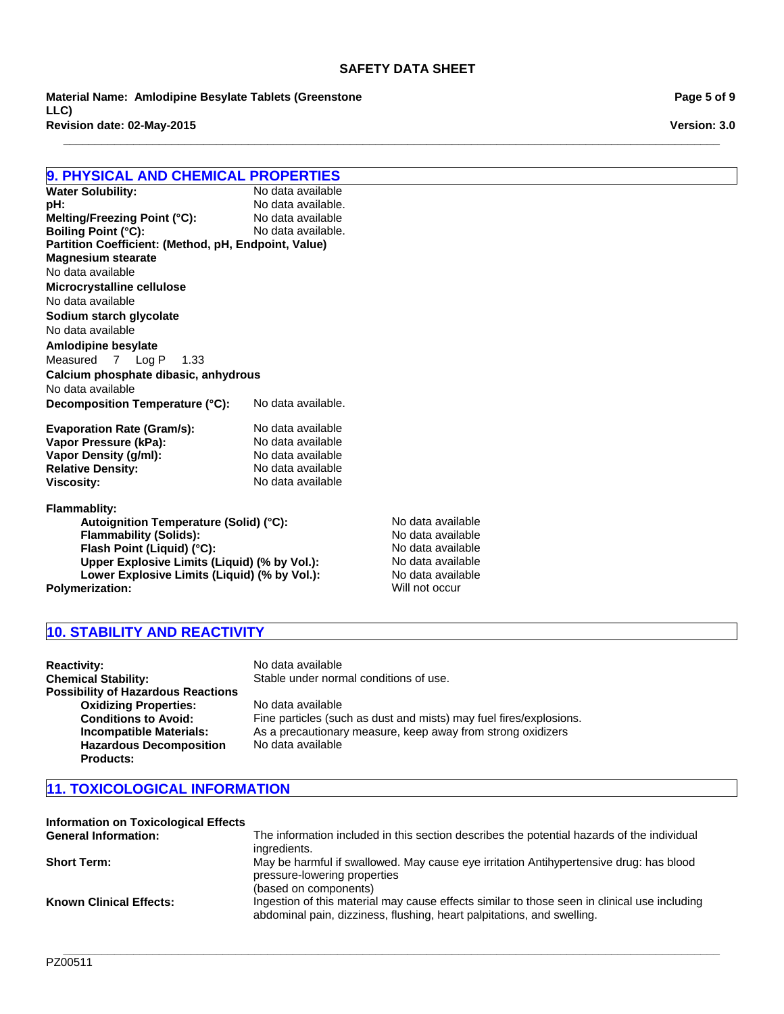**\_\_\_\_\_\_\_\_\_\_\_\_\_\_\_\_\_\_\_\_\_\_\_\_\_\_\_\_\_\_\_\_\_\_\_\_\_\_\_\_\_\_\_\_\_\_\_\_\_\_\_\_\_\_\_\_\_\_\_\_\_\_\_\_\_\_\_\_\_\_\_\_\_\_\_\_\_\_\_\_\_\_\_\_\_\_\_\_\_\_\_\_\_\_\_\_\_\_\_\_\_\_\_**

**Revision date: 02-May-2015 Material Name: Amlodipine Besylate Tablets (Greenstone LLC)**

**9. PHYSICAL AND CHEMICAL PROPERTIES Water Solubility: pH:** No data available.<br> **Melting/Freezing Point (°C):** No data available **Melting/Freezing Point (°C):** No data available<br> **Boiling Point (°C):** No data available. **Boiling Point (°C): Partition Coefficient: (Method, pH, Endpoint, Value) Decomposition Temperature (°C):** No data available. **Evaporation Rate (Gram/s):** No data available<br> **Vapor Pressure (kPa):** No data available **Vapor Pressure (kPa): Vapor Density (g/ml):** No data available<br> **Relative Density:** No data available **Relative Density: Viscosity:** No data available **Flammablity: Autoignition Temperature (Solid) (°C):** No data available<br> **Flammability (Solids):** No data available **Flammability (Solids):** No data available<br> **Flash Point (Liquid) (°C):** No data available **Flash Point (Liquid) (°C): Upper Explosive Limits (Liquid) (% by Vol.):** No data available No data available **Amlodipine besylate** No data available Measured7Log P1.33 **Calcium phosphate dibasic, anhydrous Microcrystalline cellulose** No data available No data available **Sodium starch glycolate Magnesium stearate**

Lower Explosive Limits (Liquid) (% by Vol.): No data available **Polymerization:** Will not occur

## **10. STABILITY AND REACTIVITY**

**Reactivity:** No data available **Chemical Stability:** Stable under normal conditions of use. **Possibility of Hazardous Reactions Oxidizing Properties:** No data available<br> **Conditions to Avoid:** Fine particles (sue **Conditions to Avoid:** Fine particles (such as dust and mists) may fuel fires/explosions.<br> **Incompatible Materials:** As a precautionary measure, keep away from strong oxidizers **Incompatible Materials:** As a precautionary measure, keep away from strong oxidizers **Hazardous Decomposition Products:** No data available

## **11. TOXICOLOGICAL INFORMATION**

| <b>Information on Toxicological Effects</b> |                                                                                                                                                                        |
|---------------------------------------------|------------------------------------------------------------------------------------------------------------------------------------------------------------------------|
| <b>General Information:</b>                 | The information included in this section describes the potential hazards of the individual<br>ingredients.                                                             |
| <b>Short Term:</b>                          | May be harmful if swallowed. May cause eye irritation Antihypertensive drug: has blood<br>pressure-lowering properties                                                 |
|                                             | (based on components)                                                                                                                                                  |
| <b>Known Clinical Effects:</b>              | Ingestion of this material may cause effects similar to those seen in clinical use including<br>abdominal pain, dizziness, flushing, heart palpitations, and swelling. |

**\_\_\_\_\_\_\_\_\_\_\_\_\_\_\_\_\_\_\_\_\_\_\_\_\_\_\_\_\_\_\_\_\_\_\_\_\_\_\_\_\_\_\_\_\_\_\_\_\_\_\_\_\_\_\_\_\_\_\_\_\_\_\_\_\_\_\_\_\_\_\_\_\_\_\_\_\_\_\_\_\_\_\_\_\_\_\_\_\_\_\_\_\_\_\_\_\_\_\_\_\_\_\_**

**Page 5 of 9**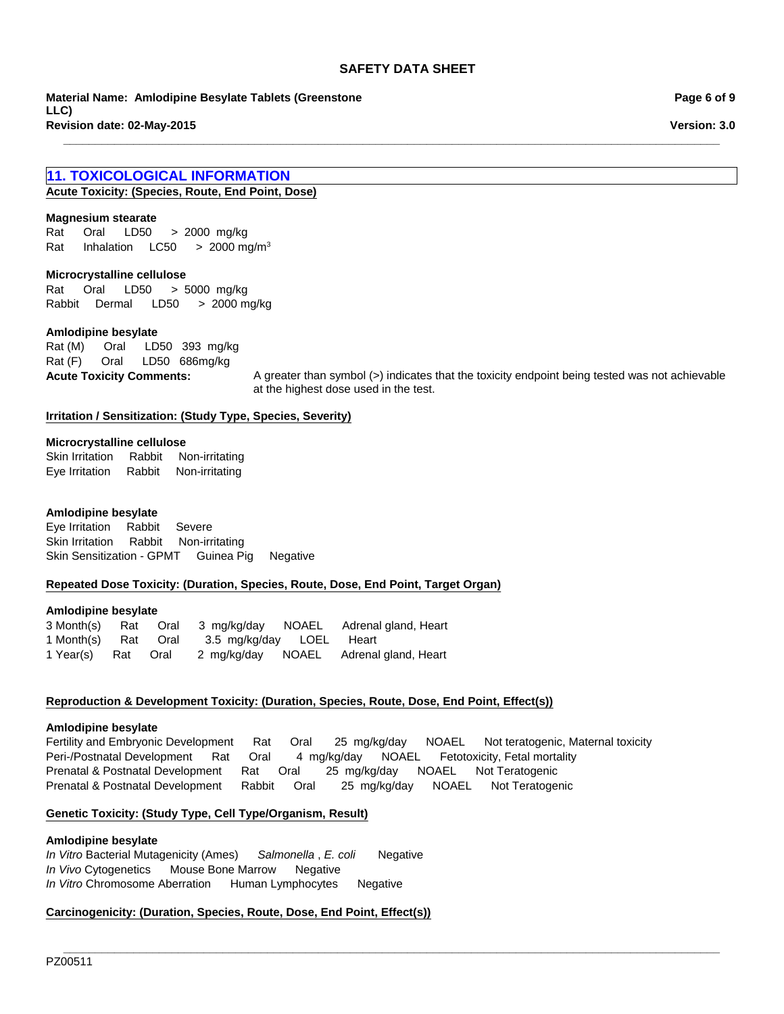**\_\_\_\_\_\_\_\_\_\_\_\_\_\_\_\_\_\_\_\_\_\_\_\_\_\_\_\_\_\_\_\_\_\_\_\_\_\_\_\_\_\_\_\_\_\_\_\_\_\_\_\_\_\_\_\_\_\_\_\_\_\_\_\_\_\_\_\_\_\_\_\_\_\_\_\_\_\_\_\_\_\_\_\_\_\_\_\_\_\_\_\_\_\_\_\_\_\_\_\_\_\_\_**

**Revision date: 02-May-2015 Material Name: Amlodipine Besylate Tablets (Greenstone LLC)**

## **11. TOXICOLOGICAL INFORMATION**

**Acute Toxicity: (Species, Route, End Point, Dose)**

#### **Magnesium stearate**

Rat InhalationLC50 >2000 mg/m3 Rat Oral LD50 >2000mg/kg

#### **Microcrystalline cellulose**

Rat Oral LD50 >5000mg/kg RabbitDermal LD50 >2000 mg/kg

#### **Amlodipine besylate**

Rat (F) Oral LD50 686mg/kg Rat (M) Oral LD50 393mg/kg

**Acute Toxicity Comments:** A greater than symbol (>) indicates that the toxicity endpoint being tested was not achievable at the highest dose used in the test.

#### **Irritation / Sensitization: (Study Type, Species, Severity)**

#### **Microcrystalline cellulose**

Skin IrritationRabbitNon-irritating Eye IrritationRabbitNon-irritating

#### **Amlodipine besylate**

Eye IrritationRabbitSevere Skin IrritationRabbitNon-irritating Skin Sensitization - GPMTGuinea PigNegative

#### **Repeated Dose Toxicity: (Duration, Species, Route, Dose, End Point, Target Organ)**

#### **Amlodipine besylate**

|                     |  |                          | 3 Month(s) Rat Oral 3 mg/kg/day NOAEL Adrenal gland, Heart |
|---------------------|--|--------------------------|------------------------------------------------------------|
| 1 Month(s) Rat Oral |  | 3.5 mg/kg/day LOEL Heart |                                                            |
| 1 Year(s) Rat Oral  |  |                          | 2 mg/kg/day  NOAEL  Adrenal gland, Heart                   |

#### **Reproduction & Development Toxicity: (Duration, Species, Route, Dose, End Point, Effect(s))**

#### **Amlodipine besylate**

Fertility and Embryonic DevelopmentRatOral25mg/kg/dayNOAELNot teratogenic, Maternal toxicity Peri-/Postnatal DevelopmentRatOral4mg/kg/dayNOAELFetotoxicity, Fetal mortality Prenatal & Postnatal DevelopmentRatOral25mg/kg/dayNOAELNot Teratogenic Prenatal & Postnatal DevelopmentRabbitOral25mg/kg/dayNOAELNot Teratogenic

#### **Genetic Toxicity: (Study Type, Cell Type/Organism, Result)**

#### **Amlodipine besylate**

*In Vitro* Bacterial Mutagenicity (Ames)*Salmonella* , *E. coli* Negative *In Vivo* CytogeneticsMouse Bone MarrowNegative *In Vitro* Chromosome AberrationHuman LymphocytesNegative

## **Carcinogenicity: (Duration, Species, Route, Dose, End Point, Effect(s))**

**Page 6 of 9**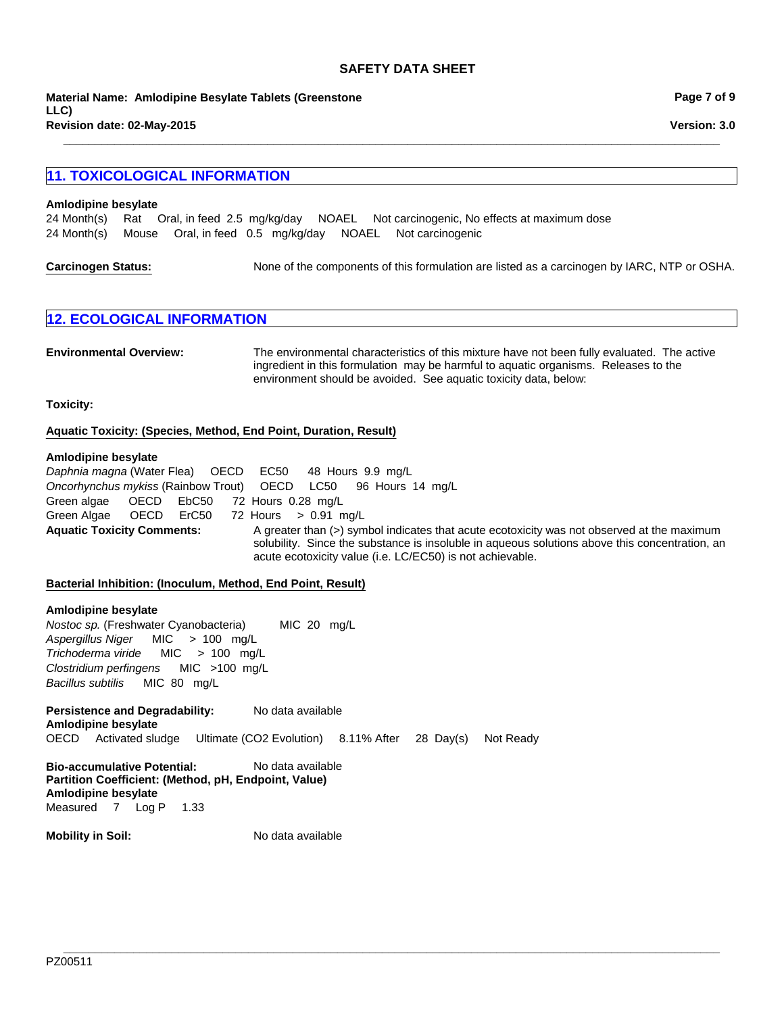**Revision date: 02-May-2015 Material Name: Amlodipine Besylate Tablets (Greenstone LLC)**

## **11. TOXICOLOGICAL INFORMATION**

#### **Amlodipine besylate**

24 Month(s)RatOral, in feed2.5mg/kg/dayNOAELNot carcinogenic, No effects at maximum dose 24 Month(s)MouseOral, in feed0.5mg/kg/dayNOAELNot carcinogenic

| <b>Carcinogen Status:</b> | None of the components of this formulation are listed as a carcinogen by IARC, NTP or OSHA. |
|---------------------------|---------------------------------------------------------------------------------------------|
|---------------------------|---------------------------------------------------------------------------------------------|

**\_\_\_\_\_\_\_\_\_\_\_\_\_\_\_\_\_\_\_\_\_\_\_\_\_\_\_\_\_\_\_\_\_\_\_\_\_\_\_\_\_\_\_\_\_\_\_\_\_\_\_\_\_\_\_\_\_\_\_\_\_\_\_\_\_\_\_\_\_\_\_\_\_\_\_\_\_\_\_\_\_\_\_\_\_\_\_\_\_\_\_\_\_\_\_\_\_\_\_\_\_\_\_**

| <b>12. ECOLOGICAL INFORMATION</b> |
|-----------------------------------|
|-----------------------------------|

| <b>Environmental Overview:</b> | The environmental characteristics of this mixture have not been fully evaluated. The active |
|--------------------------------|---------------------------------------------------------------------------------------------|
|                                | ingredient in this formulation may be harmful to aguatic organisms. Releases to the         |
|                                | environment should be avoided. See aquatic toxicity data, below:                            |

**Toxicity:**

#### **Aquatic Toxicity: (Species, Method, End Point, Duration, Result)**

#### **Amlodipine besylate**

Aquatic Toxicity Comments: A greater than (>) symbol indicates that acute ecotoxicity was not observed at the maximum solubility. Since the substance is insoluble in aqueous solutions above this concentration, an acute ecotoxicity value (i.e. LC/EC50) is not achievable. Green algae OECDEbC50 72Hours0.28mg/L Green Algae OECDErC50 72Hours>0.91mg/L *Daphnia magna* (Water Flea)OECDEC50 48Hours9.9mg/L *Oncorhynchus mykiss* (Rainbow Trout)OECDLC50 96Hours14mg/L

**\_\_\_\_\_\_\_\_\_\_\_\_\_\_\_\_\_\_\_\_\_\_\_\_\_\_\_\_\_\_\_\_\_\_\_\_\_\_\_\_\_\_\_\_\_\_\_\_\_\_\_\_\_\_\_\_\_\_\_\_\_\_\_\_\_\_\_\_\_\_\_\_\_\_\_\_\_\_\_\_\_\_\_\_\_\_\_\_\_\_\_\_\_\_\_\_\_\_\_\_\_\_\_**

#### **Bacterial Inhibition: (Inoculum, Method, End Point, Result)**

Persistence and Degradability: No data available **Amlodipine besylate** OECDActivated sludgeUltimate (CO2 Evolution)8.11% After28Day(s)Not Ready **Amlodipine besylate** *Nostoc sp.* (Freshwater Cyanobacteria) MIC20mg/L *Aspergillus Niger* MIC>100mg/L *Trichoderma viride* MIC>100mg/L *Clostridium perfingens* MIC>100mg/L *Bacillus subtilis* MIC80mg/L

**Bio-accumulative Potential:** No data available **Partition Coefficient: (Method, pH, Endpoint, Value) Amlodipine besylate** Measured7Log P1.33

**Mobility in Soil:** No data available

**Page 7 of 9**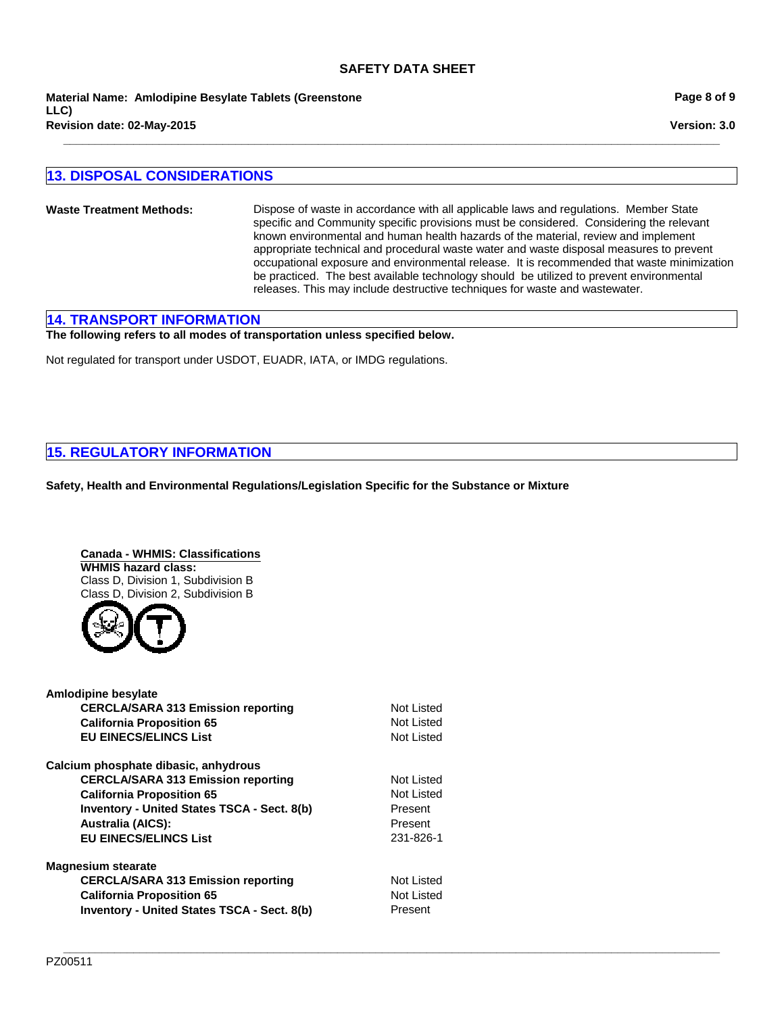**Revision date: 02-May-2015 Material Name: Amlodipine Besylate Tablets (Greenstone LLC)**

## **13. DISPOSAL CONSIDERATIONS**

**Waste Treatment Methods:** Dispose of waste in accordance with all applicable laws and regulations. Member State specific and Community specific provisions must be considered. Considering the relevant known environmental and human health hazards of the material, review and implement appropriate technical and procedural waste water and waste disposal measures to prevent occupational exposure and environmental release. It is recommended that waste minimization be practiced. The best available technology should be utilized to prevent environmental releases. This may include destructive techniques for waste and wastewater.

**\_\_\_\_\_\_\_\_\_\_\_\_\_\_\_\_\_\_\_\_\_\_\_\_\_\_\_\_\_\_\_\_\_\_\_\_\_\_\_\_\_\_\_\_\_\_\_\_\_\_\_\_\_\_\_\_\_\_\_\_\_\_\_\_\_\_\_\_\_\_\_\_\_\_\_\_\_\_\_\_\_\_\_\_\_\_\_\_\_\_\_\_\_\_\_\_\_\_\_\_\_\_\_**

## **14. TRANSPORT INFORMATION**

**The following refers to all modes of transportation unless specified below.**

Not regulated for transport under USDOT, EUADR, IATA, or IMDG regulations.

## **15. REGULATORY INFORMATION**

**Safety, Health and Environmental Regulations/Legislation Specific for the Substance or Mixture**

**Canada - WHMIS: Classifications WHMIS hazard class:** Class D, Division 1, Subdivision B Class D, Division 2, Subdivision B



| <b>Amlodipine besylate</b>                         |            |
|----------------------------------------------------|------------|
| <b>CERCLA/SARA 313 Emission reporting</b>          | Not Listed |
| <b>California Proposition 65</b>                   | Not Listed |
| <b>EU EINECS/ELINCS List</b>                       | Not Listed |
| Calcium phosphate dibasic, anhydrous               |            |
| <b>CERCLA/SARA 313 Emission reporting</b>          | Not Listed |
| <b>California Proposition 65</b>                   | Not Listed |
| <b>Inventory - United States TSCA - Sect. 8(b)</b> | Present    |
| <b>Australia (AICS):</b>                           | Present    |
| <b>EU EINECS/ELINCS List</b>                       | 231-826-1  |
| <b>Magnesium stearate</b>                          |            |
| <b>CERCLA/SARA 313 Emission reporting</b>          | Not Listed |
| <b>California Proposition 65</b>                   | Not Listed |
| <b>Inventory - United States TSCA - Sect. 8(b)</b> | Present    |